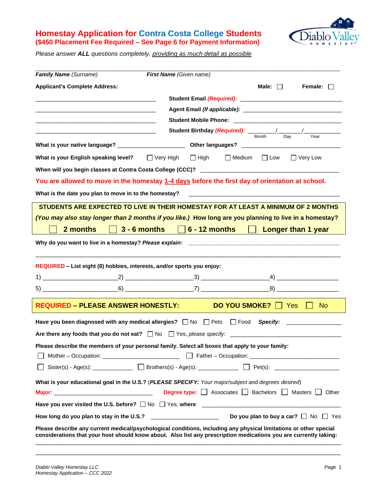## **Homestay Application for Contra Costa College Students (\$450 Placement Fee Required – See Page 6 for Payment Information)**



*Please answer ALL questions completely, providing as much detail as possible*

| <b>Family Name</b> (Surname)                                                                                          | First Name (Given name)                                                                                                                                                                                                                |
|-----------------------------------------------------------------------------------------------------------------------|----------------------------------------------------------------------------------------------------------------------------------------------------------------------------------------------------------------------------------------|
| <b>Applicant's Complete Address:</b>                                                                                  | Male:<br>Female: $\Box$<br>$\perp$                                                                                                                                                                                                     |
| <u> 2008 - Jan James James James James James James James James James James James James James James James James Ja</u> |                                                                                                                                                                                                                                        |
|                                                                                                                       |                                                                                                                                                                                                                                        |
| the control of the control of the control of the control of the control of the control of                             |                                                                                                                                                                                                                                        |
|                                                                                                                       | Year                                                                                                                                                                                                                                   |
|                                                                                                                       |                                                                                                                                                                                                                                        |
| What is your English speaking level? $\Box$ Very High $\Box$ High                                                     | $\Box$ Medium $\Box$ Low<br>$\Box$ Very Low                                                                                                                                                                                            |
|                                                                                                                       |                                                                                                                                                                                                                                        |
|                                                                                                                       | You are allowed to move in the homestay <u>1-4 days</u> before the first day of orientation at school.                                                                                                                                 |
| What is the date you plan to move in to the homestay?                                                                 |                                                                                                                                                                                                                                        |
|                                                                                                                       | STUDENTS ARE EXPECTED TO LIVE IN THEIR HOMESTAY FOR AT LEAST A MINIMUM OF 2 MONTHS                                                                                                                                                     |
|                                                                                                                       | (You may also stay longer than 2 months if you like.) How long are you planning to live in a homestay?                                                                                                                                 |
| $3 - 6$ months<br>2 months                                                                                            | $6$ - 12 months<br><b>Longer than 1 year</b>                                                                                                                                                                                           |
| Why do you want to live in a homestay? Please explain:                                                                |                                                                                                                                                                                                                                        |
|                                                                                                                       |                                                                                                                                                                                                                                        |
| REQUIRED - List eight (8) hobbies, interests, and/or sports you enjoy:                                                |                                                                                                                                                                                                                                        |
|                                                                                                                       |                                                                                                                                                                                                                                        |
|                                                                                                                       |                                                                                                                                                                                                                                        |
| <b>REQUIRED – PLEASE ANSWER HONESTLY:</b>                                                                             | <b>DO YOU SMOKE?</b>     Yes<br>No.                                                                                                                                                                                                    |
| Have you been diagnosed with any medical allergies? $\Box$ No $\Box$ Pets $\Box$ Food                                 | <b>Specify:</b>                                                                                                                                                                                                                        |
| Are there any foods that you do not eat? $\Box$ No $\Box$ Yes, please specify:                                        |                                                                                                                                                                                                                                        |
|                                                                                                                       | Please describe the members of your personal family. Select all boxes that apply to your family:                                                                                                                                       |
|                                                                                                                       |                                                                                                                                                                                                                                        |
|                                                                                                                       | □ Sister(s) - Age(s): ___________ □ Brothers(s) - Age(s): _________ □ Pet(s): ____________________                                                                                                                                     |
|                                                                                                                       | What is your educational goal in the U.S.? (PLEASE SPECIFY: Your major/subject and degrees desired)                                                                                                                                    |
|                                                                                                                       |                                                                                                                                                                                                                                        |
|                                                                                                                       |                                                                                                                                                                                                                                        |
|                                                                                                                       |                                                                                                                                                                                                                                        |
|                                                                                                                       | Please describe any current medical/psychological conditions, including any physical limitations or other special<br>considerations that your host should know about. Also list any prescription medications you are currently taking: |

\_\_\_\_\_\_\_\_\_\_\_\_\_\_\_\_\_\_\_\_\_\_\_\_\_\_\_\_\_\_\_\_\_\_\_\_\_\_\_\_\_\_\_\_\_\_\_\_\_\_\_\_\_\_\_\_\_\_\_\_\_\_\_\_\_\_\_\_\_\_\_\_\_\_\_\_\_\_\_\_\_\_\_\_\_\_\_\_\_ \_\_\_\_\_\_\_\_\_\_\_\_\_\_\_\_\_\_\_\_\_\_\_\_\_\_\_\_\_\_\_\_\_\_\_\_\_\_\_\_\_\_\_\_\_\_\_\_\_\_\_\_\_\_\_\_\_\_\_\_\_\_\_\_\_\_\_\_\_\_\_\_\_\_\_\_\_\_\_\_\_\_\_\_\_\_\_\_\_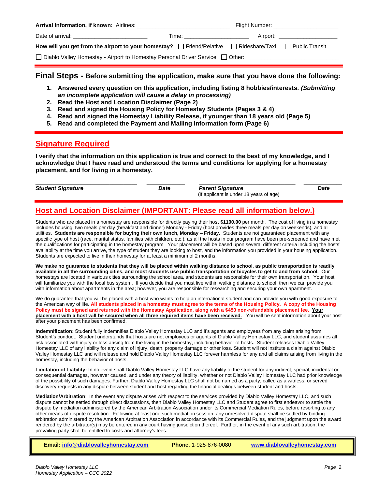| <b>Arrival Information, if known:</b> Airlines:                                                                        |                                 |  | Flight Number: The Contract of the Contract of the Contract of the Contract of the Contract of the Contract of the Contract of the Contract of the Contract of the Contract of the Contract of the Contract of the Contract of |  |
|------------------------------------------------------------------------------------------------------------------------|---------------------------------|--|--------------------------------------------------------------------------------------------------------------------------------------------------------------------------------------------------------------------------------|--|
|                                                                                                                        | Time: _________________________ |  | Airport: _______________________                                                                                                                                                                                               |  |
| How will you get from the airport to your homestay? $\Box$ Friend/Relative $\Box$ Rideshare/Taxi $\Box$ Public Transit |                                 |  |                                                                                                                                                                                                                                |  |
| □ Diablo Valley Homestay - Airport to Homestay Personal Driver Service □ Other:                                        |                                 |  |                                                                                                                                                                                                                                |  |

### **Final Steps - Before submitting the application, make sure that you have done the following:**

- **1. Answered every question on this application, including listing 8 hobbies/interests.** *(Submitting an incomplete application will cause a delay in processing)*
- **2. Read the Host and Location Disclaimer (Page 2)**
- **3. Read and signed the Housing Policy for Homestay Students (Pages 3 & 4)**
- **4. Read and signed the Homestay Liability Release, if younger than 18 years old (Page 5)**
- **5. Read and completed the Payment and Mailing Information form (Page 6)**

## **Signature Required**

**I verify that the information on this application is true and correct to the best of my knowledge, and I acknowledge that I have read and understood the terms and conditions for applying for a homestay placement, and for living in a homestay.**

 $\_$  , and the set of the set of the set of the set of the set of the set of the set of the set of the set of the set of the set of the set of the set of the set of the set of the set of the set of the set of the set of th *Student Signature Date Parent Signature Date* (If applicant is under 18 years of age)

# **Host and Location Disclaimer (IMPORTANT: Please read all information below.)**

Students who are placed in a homestay are responsible for directly paying their host **\$1100.00** per month. The cost of living in a homestay includes housing, two meals per day (breakfast and dinner) Monday - Friday (host provides three meals per day on weekends), and all utilities. **Students are responsible for buying their own lunch, Monday – Friday**. Students are not guaranteed placement with any specific type of host (race, marital status, families with children, etc.), as all the hosts in our program have been pre-screened and have met the qualifications for participating in the homestay program. Your placement will be based upon several different criteria including the hosts' availability at the time you arrive, the type of student they are looking to host, and the information you provided in your housing application. Students are expected to live in their homestay for at least a minimum of 2 months.

**We make no guarantee to students that they will be placed within walking distance to school, as public transportation is readily available in all the surrounding cities, and most students use public transportation or bicycles to get to and from school.** Our homestays are located in various cities surrounding the school area, and students are responsible for their own transportation. Your host will familiarize you with the local bus system. If you decide that you must live within walking distance to school, then we can provide you with information about apartments in the area; however, you are responsible for researching and securing your own apartment.

We do guarantee that you will be placed with a host who wants to help an international student and can provide you with good exposure to the American way of life. **All students placed in a homestay must agree to the terms of the Housing Policy. A copy of the Housing Policy must be signed and returned with the Homestay Application, along with a \$450 non-refundable placement fee**. **Your placement with a host will be secured when all three required items have been received.** You will be sent information about your host after your placement has been confirmed.

**Indemnification:** Student fully indemnifies Diablo Valley Homestay LLC and it's agents and employees from any claim arising from Student's conduct. Student understands that hosts are not employees or agents of Diablo Valley Homestay LLC, and student assumes all risk associated with injury or loss arising from the living in the homestay, including behavior of hosts. Student releases Diablo Valley Homestay LLC of any liability for any claim of injury, death, property damage or other loss. Student will not institute a claim against Diablo Valley Homestay LLC and will release and hold Diablo Valley Homestay LLC forever harmless for any and all claims arising from living in the homestay, including the behavior of hosts.

**Limitation of Liability:** In no event shall Diablo Valley Homestay LLC have any liability to the student for any indirect, special, incidental or consequential damages, however caused, and under any theory of liability, whether or not Diablo Valley Homestay LLC had prior knowledge of the possibility of such damages. Further, Diablo Valley Homestay LLC shall not be named as a party, called as a witness, or served discovery requests in any dispute between student and host regarding the financial dealings between student and hosts.

**Mediation/Arbitration**: In the event any dispute arises with respect to the services provided by Diablo Valley Homestay LLC, and such dispute cannot be settled through direct discussions, then Diablo Valley Homestay LLC and Student agree to first endeavor to settle the dispute by mediation administered by the American Arbitration Association under its Commercial Mediation Rules, before resorting to any other means of dispute resolution. Following at least one such mediation session, any unresolved dispute shall be settled by binding arbitration administered by the American Arbitration Association in accordance with its Commercial Rules, and the judgment upon the award rendered by the arbitrator(s) may be entered in any court having jurisdiction thereof. Further, in the event of any such arbitration, the prevailing party shall be entitled to costs and attorney's fees.

 **Email[: info@diablovalleyhomestay.com](mailto:info@diablovalleyhomestay.com) Phone**: 1-925-876-0080 **[www.diablovalleyhomestay.com](http://www.diablovalleyhomestay.com/)**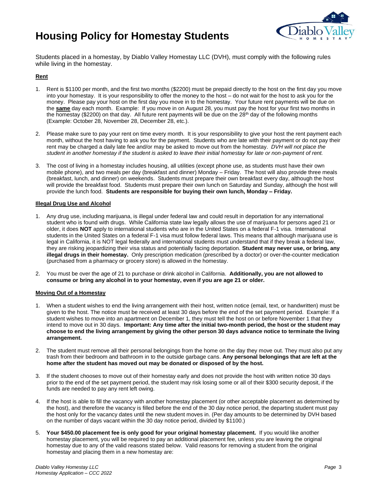# **Housing Policy for Homestay Students**



Students placed in a homestay, by Diablo Valley Homestay LLC (DVH), must comply with the following rules while living in the homestay.

#### **Rent**

- 1. Rent is \$1100 per month, and the first two months (\$2200) must be prepaid directly to the host on the first day you move into your homestay. It is your responsibility to offer the money to the host – do not wait for the host to ask you for the money. Please pay your host on the first day you move in to the homestay. Your future rent payments will be due on the **same** day each month. Example: If you move in on August 28, you must pay the host for your first two months in the homestay (\$2200) on that day. All future rent payments will be due on the 28<sup>th</sup> day of the following months (Example: October 28, November 28, December 28, etc.).
- 2. Please make sure to pay your rent on time every month. It is your responsibility to give your host the rent payment each month, without the host having to ask you for the payment. Students who are late with their payment or do not pay their rent may be charged a daily late fee and/or may be asked to move out from the homestay. *DVH will not place the student in another homestay if the student is asked to leave their initial homestay for late or non-payment of rent.*
- 3. The cost of living in a homestay includes housing, all utilities (except phone use, as students must have their own mobile phone), and two meals per day (breakfast and dinner) Monday – Friday. The host will also provide three meals (breakfast, lunch, and dinner) on weekends. Students must prepare their own breakfast every day, although the host will provide the breakfast food. Students must prepare their own lunch on Saturday and Sunday, although the host will provide the lunch food. **Students are responsible for buying their own lunch, Monday – Friday.**

#### **Illegal Drug Use and Alcohol**

- 1. Any drug use, including marijuana, is illegal under federal law and could result in deportation for any international student who is found with drugs. While California state law legally allows the use of marijuana for persons aged 21 or older, it does **NOT** apply to international students who are in the United States on a federal F-1 visa. International students in the United States on a federal F-1 visa must follow federal laws. This means that although marijuana use is legal in California, it is NOT legal federally and international students must understand that if they break a federal law, they are risking jeopardizing their visa status and potentially facing deportation. **Student may never use, or bring, any illegal drugs in their homestay.** Only prescription medication (prescribed by a doctor) or over-the-counter medication (purchased from a pharmacy or grocery store) is allowed in the homestay.
- 2. You must be over the age of 21 to purchase or drink alcohol in California. **Additionally, you are not allowed to consume or bring any alcohol in to your homestay, even if you are age 21 or older.**

#### **Moving Out of a Homestay**

- 1. When a student wishes to end the living arrangement with their host, written notice (email, text, or handwritten) must be given to the host. The notice must be received at least 30 days before the end of the set payment period. Example: If a student wishes to move into an apartment on December 1, they must tell the host on or before November 1 that they intend to move out in 30 days. **Important: Any time after the initial two-month period, the host or the student may choose to end the living arrangement by giving the other person 30 days advance notice to terminate the living arrangement.**
- 2. The student must remove all their personal belongings from the home on the day they move out. They must also put any trash from their bedroom and bathroom in to the outside garbage cans. **Any personal belongings that are left at the home after the student has moved out may be donated or disposed of by the host.**
- 3. If the student chooses to move out of their homestay early and does not provide the host with written notice 30 days prior to the end of the set payment period, the student may risk losing some or all of their \$300 security deposit, if the funds are needed to pay any rent left owing.
- 4. If the host is able to fill the vacancy with another homestay placement (or other acceptable placement as determined by the host), and therefore the vacancy is filled before the end of the 30 day notice period, the departing student must pay the host only for the vacancy dates until the new student moves in. (Per day amounts to be determined by DVH based on the number of days vacant within the 30 day notice period, divided by \$1100.)
- 5. **Your \$450.00 placement fee is only good for your original homestay placement.** If you would like another homestay placement, you will be required to pay an additional placement fee, unless you are leaving the original homestay due to any of the valid reasons stated below. Valid reasons for removing a student from the original homestay and placing them in a new homestay are: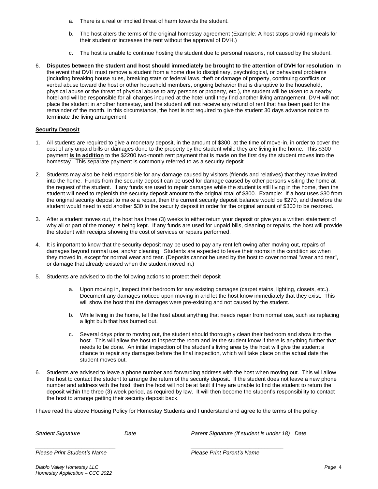- a. There is a real or implied threat of harm towards the student.
- b. The host alters the terms of the original homestay agreement (Example: A host stops providing meals for their student or increases the rent without the approval of DVH.)
- c. The host is unable to continue hosting the student due to personal reasons, not caused by the student.
- 6. **Disputes between the student and host should immediately be brought to the attention of DVH for resolution**. In the event that DVH must remove a student from a home due to disciplinary, psychological, or behavioral problems (including breaking house rules, breaking state or federal laws, theft or damage of property, continuing conflicts or verbal abuse toward the host or other household members, ongoing behavior that is disruptive to the household, physical abuse or the threat of physical abuse to any persons or property, etc.), the student will be taken to a nearby hotel and will be responsible for all charges incurred at the hotel until they find another living arrangement. DVH will not place the student in another homestay, and the student will not receive any refund of rent that has been paid for the remainder of the month. In this circumstance, the host is not required to give the student 30 days advance notice to terminate the living arrangement

#### **Security Deposit**

- 1. All students are required to give a monetary deposit, in the amount of \$300, at the time of move-in, in order to cover the cost of any unpaid bills or damages done to the property by the student while they are living in the home. This \$300 payment **is in addition** to the \$2200 two-month rent payment that is made on the first day the student moves into the homestay. This separate payment is commonly referred to as a security deposit.
- 2. Students may also be held responsible for any damage caused by visitors (friends and relatives) that they have invited into the home. Funds from the security deposit can be used for damage caused by other persons visiting the home at the request of the student. If any funds are used to repair damages while the student is still living in the home, then the student will need to replenish the security deposit amount to the original total of \$300. Example: If a host uses \$30 from the original security deposit to make a repair, then the current security deposit balance would be \$270, and therefore the student would need to add another \$30 to the security deposit in order for the original amount of \$300 to be restored.
- 3. After a student moves out, the host has three (3) weeks to either return your deposit or give you a written statement of why all or part of the money is being kept. If any funds are used for unpaid bills, cleaning or repairs, the host will provide the student with receipts showing the cost of services or repairs performed.
- 4. It is important to know that the security deposit may be used to pay any rent left owing after moving out, repairs of damages beyond normal use, and/or cleaning. Students are expected to leave their rooms in the condition as when they moved in, except for normal wear and tear. (Deposits cannot be used by the host to cover normal "wear and tear", or damage that already existed when the student moved in.)
- 5. Students are advised to do the following actions to protect their deposit
	- a. Upon moving in, inspect their bedroom for any existing damages (carpet stains, lighting, closets, etc.). Document any damages noticed upon moving in and let the host know immediately that they exist. This will show the host that the damages were pre-existing and not caused by the student.
	- b. While living in the home, tell the host about anything that needs repair from normal use, such as replacing a light bulb that has burned out.
	- c. Several days prior to moving out, the student should thoroughly clean their bedroom and show it to the host. This will allow the host to inspect the room and let the student know if there is anything further that needs to be done. An initial inspection of the student's living area by the host will give the student a chance to repair any damages before the final inspection, which will take place on the actual date the student moves out.
- 6. Students are advised to leave a phone number and forwarding address with the host when moving out. This will allow the host to contact the student to arrange the return of the security deposit. If the student does not leave a new phone number and address with the host, then the host will not be at fault if they are unable to find the student to return the deposit within the three (3) week period, as required by law. It will then become the student's responsibility to contact the host to arrange getting their security deposit back.

I have read the above Housing Policy for Homestay Students and I understand and agree to the terms of the policy.

*\_\_\_\_\_\_\_\_\_\_\_\_\_\_\_\_\_\_\_\_\_\_\_\_\_\_ \_\_\_\_\_\_\_\_\_\_\_\_\_\_\_\_\_\_\_\_\_\_\_\_\_\_\_\_\_\_*

\_\_\_\_\_\_\_\_\_\_\_\_\_\_\_\_\_\_\_\_\_\_\_\_\_\_ \_\_\_\_\_\_\_\_\_\_\_\_\_\_ \_\_\_\_\_\_\_\_\_\_\_\_\_\_\_\_\_\_\_\_\_\_\_\_\_\_\_\_\_\_\_\_ \_\_\_\_\_\_\_\_\_\_ *Student Signature Date Parent Signature (If student is under 18) Date*

*Please Print Student's Name Please Print Parent's Name*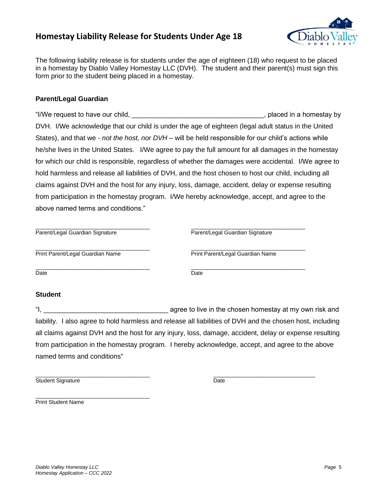# **Homestay Liability Release for Students Under Age 18**



The following liability release is for students under the age of eighteen (18) who request to be placed in a homestay by Diablo Valley Homestay LLC (DVH). The student and their parent(s) must sign this form prior to the student being placed in a homestay.

### **Parent/Legal Guardian**

"I/We request to have our child, the state of the state of the state of the state of the state of the state of the state of the state of the state of the state of the state of the state of the state of the state of the sta DVH. I/We acknowledge that our child is under the age of eighteen (legal adult status in the United States), and that we - *not the host, nor DVH* – will be held responsible for our child's actions while he/she lives in the United States. I/We agree to pay the full amount for all damages in the homestay for which our child is responsible, regardless of whether the damages were accidental. I/We agree to hold harmless and release all liabilities of DVH, and the host chosen to host our child, including all claims against DVH and the host for any injury, loss, damage, accident, delay or expense resulting from participation in the homestay program. I/We hereby acknowledge, accept, and agree to the above named terms and conditions."

| Parent/Legal Guardian Signature  |
|----------------------------------|
| Print Parent/Legal Guardian Name |
| Date                             |
|                                  |

## **Student**

"I, the chosen homestay at my own risk and if the chosen homestay at my own risk and liability. I also agree to hold harmless and release all liabilities of DVH and the chosen host, including all claims against DVH and the host for any injury, loss, damage, accident, delay or expense resulting from participation in the homestay program. I hereby acknowledge, accept, and agree to the above named terms and conditions"

\_\_\_\_\_\_\_\_\_\_\_\_\_\_\_\_\_\_\_\_\_\_\_\_\_\_\_\_\_\_\_\_\_\_\_\_\_ \_\_\_\_\_\_\_\_\_\_\_\_\_\_\_\_\_\_\_\_\_\_\_\_\_\_\_\_\_\_\_\_\_ Student Signature Date

\_\_\_\_\_\_\_\_\_\_\_\_\_\_\_\_\_\_\_\_\_\_\_\_\_\_\_\_\_\_\_\_\_\_\_\_\_ Print Student Name